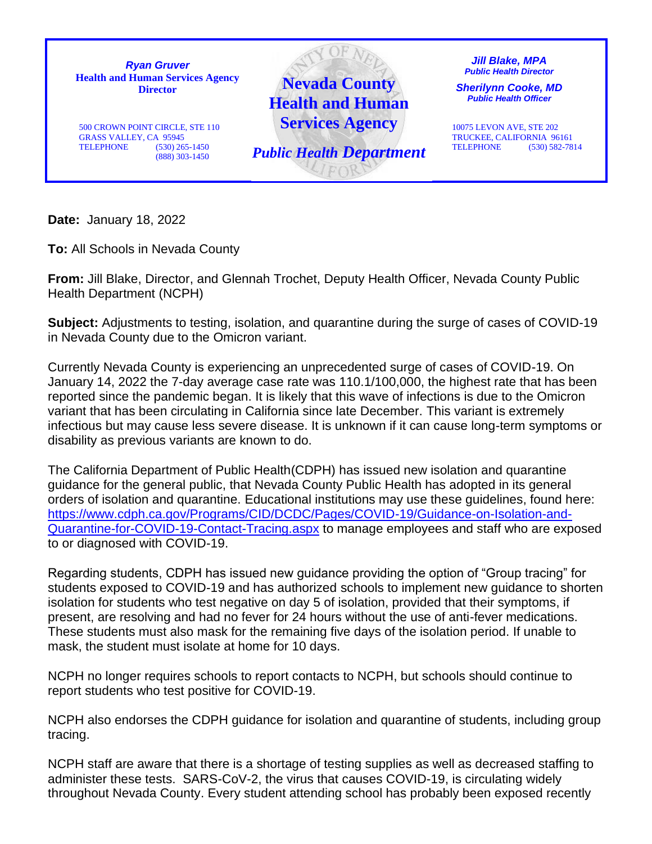

**Date:** January 18, 2022

**To:** All Schools in Nevada County

**From:** Jill Blake, Director, and Glennah Trochet, Deputy Health Officer, Nevada County Public Health Department (NCPH)

**Subject:** Adjustments to testing, isolation, and quarantine during the surge of cases of COVID-19 in Nevada County due to the Omicron variant.

Currently Nevada County is experiencing an unprecedented surge of cases of COVID-19. On January 14, 2022 the 7-day average case rate was 110.1/100,000, the highest rate that has been reported since the pandemic began. It is likely that this wave of infections is due to the Omicron variant that has been circulating in California since late December. This variant is extremely infectious but may cause less severe disease. It is unknown if it can cause long-term symptoms or disability as previous variants are known to do.

The California Department of Public Health(CDPH) has issued new isolation and quarantine guidance for the general public, that Nevada County Public Health has adopted in its general orders of isolation and quarantine. Educational institutions may use these guidelines, found here: [https://www.cdph.ca.gov/Programs/CID/DCDC/Pages/COVID-19/Guidance-on-Isolation-and-](about:blank)[Quarantine-for-COVID-19-Contact-Tracing.aspx](about:blank) to manage employees and staff who are exposed to or diagnosed with COVID-19.

Regarding students, CDPH has issued new guidance providing the option of "Group tracing" for students exposed to COVID-19 and has authorized schools to implement new guidance to shorten isolation for students who test negative on day 5 of isolation, provided that their symptoms, if present, are resolving and had no fever for 24 hours without the use of anti-fever medications. These students must also mask for the remaining five days of the isolation period. If unable to mask, the student must isolate at home for 10 days.

NCPH no longer requires schools to report contacts to NCPH, but schools should continue to report students who test positive for COVID-19.

NCPH also endorses the CDPH guidance for isolation and quarantine of students, including group tracing.

NCPH staff are aware that there is a shortage of testing supplies as well as decreased staffing to administer these tests. SARS-CoV-2, the virus that causes COVID-19, is circulating widely throughout Nevada County. Every student attending school has probably been exposed recently